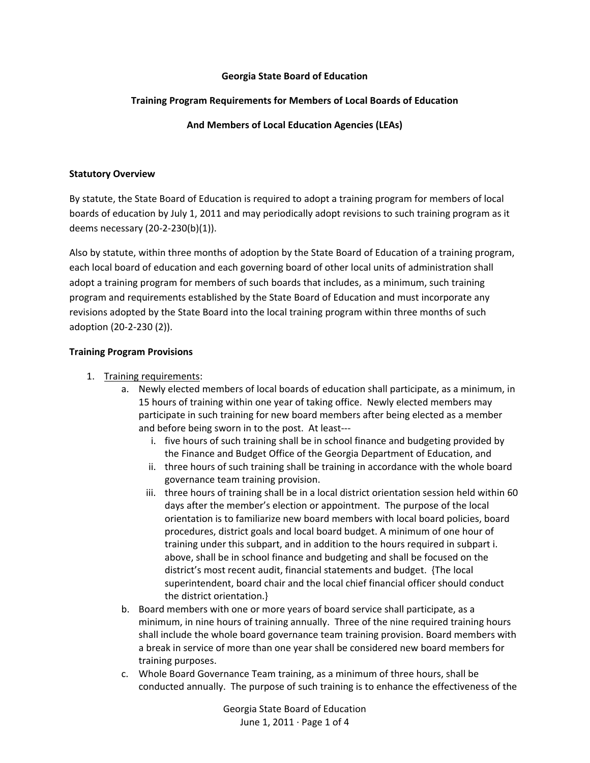#### **Georgia State Board of Education**

### **Training Program Requirements for Members of Local Boards of Education**

**And Members of Local Education Agencies (LEAs)**

#### **Statutory Overview**

By statute, the State Board of Education is required to adopt a training program for members of local boards of education by July 1, 2011 and may periodically adopt revisions to such training program as it deems necessary (20‐2‐230(b)(1)).

Also by statute, within three months of adoption by the State Board of Education of a training program, each local board of education and each governing board of other local units of administration shall adopt a training program for members of such boards that includes, as a minimum, such training program and requirements established by the State Board of Education and must incorporate any revisions adopted by the State Board into the local training program within three months of such adoption (20‐2‐230 (2)).

#### **Training Program Provisions**

### 1. Training requirements:

- a. Newly elected members of local boards of education shall participate, as a minimum, in 15 hours of training within one year of taking office. Newly elected members may participate in such training for new board members after being elected as a member and before being sworn in to the post. At least‐‐‐
	- i. five hours of such training shall be in school finance and budgeting provided by the Finance and Budget Office of the Georgia Department of Education, and
	- ii. three hours of such training shall be training in accordance with the whole board governance team training provision.
	- iii. three hours of training shall be in a local district orientation session held within 60 days after the member's election or appointment. The purpose of the local orientation is to familiarize new board members with local board policies, board procedures, district goals and local board budget. A minimum of one hour of training under this subpart, and in addition to the hours required in subpart i. above, shall be in school finance and budgeting and shall be focused on the district's most recent audit, financial statements and budget. {The local superintendent, board chair and the local chief financial officer should conduct the district orientation.}
- b. Board members with one or more years of board service shall participate, as a minimum, in nine hours of training annually. Three of the nine required training hours shall include the whole board governance team training provision. Board members with a break in service of more than one year shall be considered new board members for training purposes.
- c. Whole Board Governance Team training, as a minimum of three hours, shall be conducted annually. The purpose of such training is to enhance the effectiveness of the

Georgia State Board of Education June 1, 2011 ∙ Page 1 of 4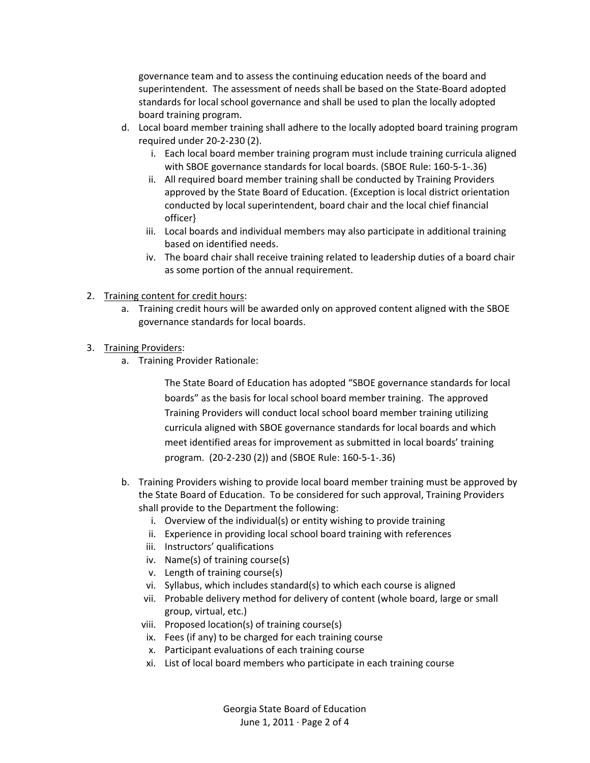governance team and to assess the continuing education needs of the board and superintendent. The assessment of needs shall be based on the State‐Board adopted standards for local school governance and shall be used to plan the locally adopted board training program.

- d. Local board member training shall adhere to the locally adopted board training program required under 20‐2‐230 (2).
	- i. Each local board member training program must include training curricula aligned with SBOE governance standards for local boards. (SBOE Rule: 160‐5‐1‐.36)
	- ii. All required board member training shall be conducted by Training Providers approved by the State Board of Education. {Exception is local district orientation conducted by local superintendent, board chair and the local chief financial officer}
	- iii. Local boards and individual members may also participate in additional training based on identified needs.
	- iv. The board chair shall receive training related to leadership duties of a board chair as some portion of the annual requirement.
- 2. Training content for credit hours:
	- a. Training credit hours will be awarded only on approved content aligned with the SBOE governance standards for local boards.
- 3. Training Providers:
	- a. Training Provider Rationale:

The State Board of Education has adopted "SBOE governance standards for local boards" as the basis for local school board member training. The approved Training Providers will conduct local school board member training utilizing curricula aligned with SBOE governance standards for local boards and which meet identified areas for improvement as submitted in local boards' training program. (20‐2‐230 (2)) and (SBOE Rule: 160‐5‐1‐.36)

- b. Training Providers wishing to provide local board member training must be approved by the State Board of Education. To be considered for such approval, Training Providers shall provide to the Department the following:
	- i. Overview of the individual(s) or entity wishing to provide training
	- ii. Experience in providing local school board training with references
	- iii. Instructors' qualifications
	- iv. Name(s) of training course(s)
	- v. Length of training course(s)
	- vi. Syllabus, which includes standard(s) to which each course is aligned
	- vii. Probable delivery method for delivery of content (whole board, large or small group, virtual, etc.)
	- viii. Proposed location(s) of training course(s)
	- ix. Fees (if any) to be charged for each training course
	- x. Participant evaluations of each training course
	- xi. List of local board members who participate in each training course

Georgia State Board of Education June 1, 2011 ∙ Page 2 of 4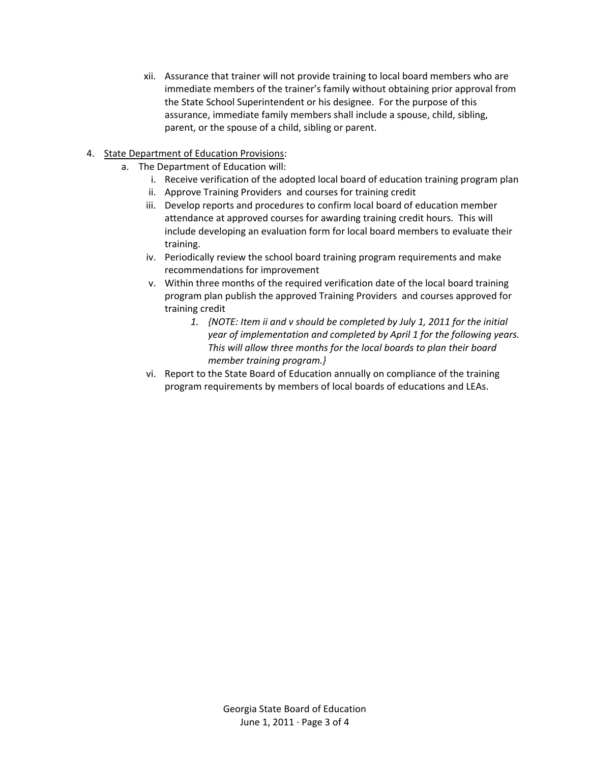xii. Assurance that trainer will not provide training to local board members who are immediate members of the trainer's family without obtaining prior approval from the State School Superintendent or his designee. For the purpose of this assurance, immediate family members shall include a spouse, child, sibling, parent, or the spouse of a child, sibling or parent.

## 4. State Department of Education Provisions:

- a. The Department of Education will:
	- i. Receive verification of the adopted local board of education training program plan
	- ii. Approve Training Providers and courses for training credit
	- iii. Develop reports and procedures to confirm local board of education member attendance at approved courses for awarding training credit hours. This will include developing an evaluation form for local board members to evaluate their training.
	- iv. Periodically review the school board training program requirements and make recommendations for improvement
	- v. Within three months of the required verification date of the local board training program plan publish the approved Training Providers and courses approved for training credit
		- *1. {NOTE: Item ii and v should be completed by July 1, 2011 for the initial year of implementation and completed by April 1 for the following years. This will allow three months for the local boards to plan their board member training program.}*
	- vi. Report to the State Board of Education annually on compliance of the training program requirements by members of local boards of educations and LEAs.